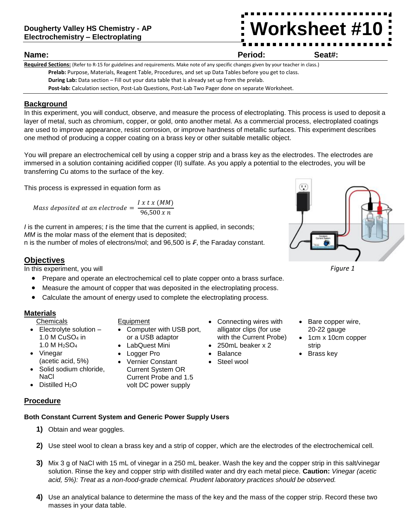# **Worksheet #10**

### **Name: Period: Seat#:**

**Required Sections:** (Refer to R-15 for guidelines and requirements. Make note of any specific changes given by your teacher in class.) **Prelab:** Purpose, Materials, Reagent Table, Procedures, and set up Data Tables before you get to class. **During Lab:** Data section – Fill out your data table that is already set up from the prelab. **Post-lab:** Calculation section, Post-Lab Questions, Post-Lab Two Pager done on separate Worksheet.

## **Background**

In this experiment, you will conduct, observe, and measure the process of electroplating. This process is used to deposit a layer of metal, such as chromium, copper, or gold, onto another metal. As a commercial process, electroplated coatings are used to improve appearance, resist corrosion, or improve hardness of metallic surfaces. This experiment describes one method of producing a copper coating on a brass key or other suitable metallic object.

You will prepare an electrochemical cell by using a copper strip and a brass key as the electrodes. The electrodes are immersed in a solution containing acidified copper (II) sulfate. As you apply a potential to the electrodes, you will be transferring Cu atoms to the surface of the key.

This process is expressed in equation form as

Mass deposited at an electrode = 
$$
\frac{I x \, t \, x \, (MM)}{96,500 \, x \, n}
$$

*I* is the current in amperes; *t* is the time that the current is applied, in seconds; *MM* is the molar mass of the element that is deposited; n is the number of moles of electrons/mol; and 96,500 is *₣*, the Faraday constant.

## **Objectives**

In this experiment, you will

- Prepare and operate an electrochemical cell to plate copper onto a brass surface.
- Measure the amount of copper that was deposited in the electroplating process.
- Calculate the amount of energy used to complete the electroplating process.

## **Materials**

- **Chemicals**
- $\bullet$  Electrolyte solution  $-$ 1.0 M  $CuSO<sub>4</sub>$  in 1.0 M H2SO<sup>4</sup>
- Vinegar (acetic acid, 5%)
- Solid sodium chloride, **NaCl**
- Distilled  $H_2O$

**Equipment** 

- Computer with USB port, or a USB adaptor
- LabQuest Mini
- Logger Pro
- Vernier Constant Current System OR Current Probe and 1.5 volt DC power supply
- Connecting wires with alligator clips (for use with the Current Probe)
- 250mL beaker x 2
- Steel wool



*Figure 1*

- Bare copper wire, 20-22 gauge
- 1cm x 10cm copper strip
- Brass key

## **Procedure**

# **Both Constant Current System and Generic Power Supply Users**

- **1)** Obtain and wear goggles.
- **2)** Use steel wool to clean a brass key and a strip of copper, which are the electrodes of the electrochemical cell.
- **3)** Mix 3 g of NaCl with 15 mL of vinegar in a 250 mL beaker. Wash the key and the copper strip in this salt/vinegar solution. Rinse the key and copper strip with distilled water and dry each metal piece. **Caution:** *Vinegar (acetic acid, 5%): Treat as a non-food-grade chemical. Prudent laboratory practices should be observed.*
- **4)** Use an analytical balance to determine the mass of the key and the mass of the copper strip. Record these two masses in your data table.
- 
- 
- 
- - Balance
	-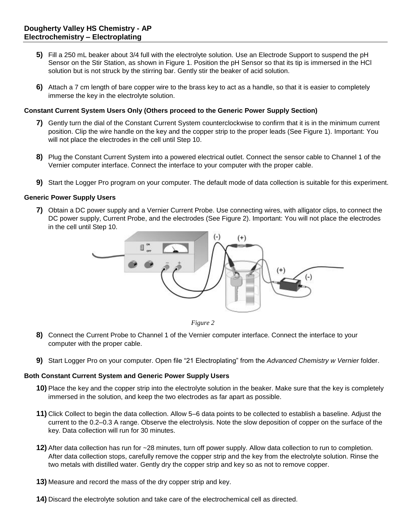- **5)** Fill a 250 mL beaker about 3/4 full with the electrolyte solution. Use an Electrode Support to suspend the pH Sensor on the Stir Station, as shown in Figure 1. Position the pH Sensor so that its tip is immersed in the HCl solution but is not struck by the stirring bar. Gently stir the beaker of acid solution.
- **6)** Attach a 7 cm length of bare copper wire to the brass key to act as a handle, so that it is easier to completely immerse the key in the electrolyte solution.

#### **Constant Current System Users Only (Others proceed to the Generic Power Supply Section)**

- **7)** Gently turn the dial of the Constant Current System counterclockwise to confirm that it is in the minimum current position. Clip the wire handle on the key and the copper strip to the proper leads (See Figure 1). Important: You will not place the electrodes in the cell until Step 10.
- **8)** Plug the Constant Current System into a powered electrical outlet. Connect the sensor cable to Channel 1 of the Vernier computer interface. Connect the interface to your computer with the proper cable.
- **9)** Start the Logger Pro program on your computer. The default mode of data collection is suitable for this experiment.

#### **Generic Power Supply Users**

**7)** Obtain a DC power supply and a Vernier Current Probe. Use connecting wires, with alligator clips, to connect the DC power supply, Current Probe, and the electrodes (See Figure 2). Important: You will not place the electrodes in the cell until Step 10.



*Figure 2* 

- **8)** Connect the Current Probe to Channel 1 of the Vernier computer interface. Connect the interface to your computer with the proper cable.
- **9)** Start Logger Pro on your computer. Open file "21 Electroplating" from the *Advanced Chemistry w Vernier* folder.

#### **Both Constant Current System and Generic Power Supply Users**

- **10)** Place the key and the copper strip into the electrolyte solution in the beaker. Make sure that the key is completely immersed in the solution, and keep the two electrodes as far apart as possible.
- **11)** Click Collect to begin the data collection. Allow 5–6 data points to be collected to establish a baseline. Adjust the current to the 0.2–0.3 A range. Observe the electrolysis. Note the slow deposition of copper on the surface of the key. Data collection will run for 30 minutes.
- **12)** After data collection has run for ~28 minutes, turn off power supply. Allow data collection to run to completion. After data collection stops, carefully remove the copper strip and the key from the electrolyte solution. Rinse the two metals with distilled water. Gently dry the copper strip and key so as not to remove copper.
- **13)** Measure and record the mass of the dry copper strip and key.
- **14)** Discard the electrolyte solution and take care of the electrochemical cell as directed.